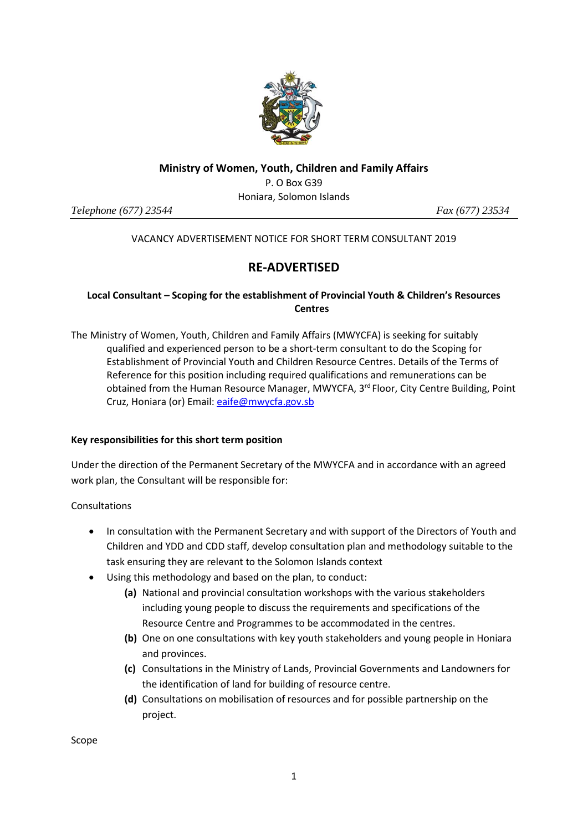

#### **Ministry of Women, Youth, Children and Family Affairs**

P. O Box G39 Honiara, Solomon Islands

*Telephone (677) 23544 Fax (677) 23534* 

# VACANCY ADVERTISEMENT NOTICE FOR SHORT TERM CONSULTANT 2019

# **RE-ADVERTISED**

# **Local Consultant – Scoping for the establishment of Provincial Youth & Children's Resources Centres**

The Ministry of Women, Youth, Children and Family Affairs (MWYCFA) is seeking for suitably qualified and experienced person to be a short-term consultant to do the Scoping for Establishment of Provincial Youth and Children Resource Centres. Details of the Terms of Reference for this position including required qualifications and remunerations can be obtained from the Human Resource Manager, MWYCFA, 3rd Floor, City Centre Building, Point Cruz, Honiara (or) Email[: eaife@mwycfa.gov.sb](mailto:eaife@mwycfa.gov.sb)

# **Key responsibilities for this short term position**

Under the direction of the Permanent Secretary of the MWYCFA and in accordance with an agreed work plan, the Consultant will be responsible for:

Consultations

- In consultation with the Permanent Secretary and with support of the Directors of Youth and Children and YDD and CDD staff, develop consultation plan and methodology suitable to the task ensuring they are relevant to the Solomon Islands context
- Using this methodology and based on the plan, to conduct:
	- **(a)** National and provincial consultation workshops with the various stakeholders including young people to discuss the requirements and specifications of the Resource Centre and Programmes to be accommodated in the centres.
	- **(b)** One on one consultations with key youth stakeholders and young people in Honiara and provinces.
	- **(c)** Consultations in the Ministry of Lands, Provincial Governments and Landowners for the identification of land for building of resource centre.
	- **(d)** Consultations on mobilisation of resources and for possible partnership on the project.

Scope